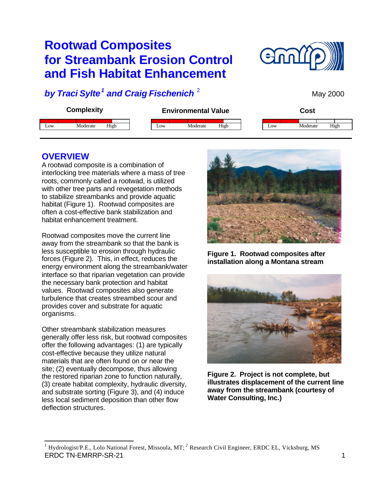# **Rootwad Composites for Streambank Erosion Control and Fish Habitat Enhancement**



May 2000

## *by Traci Sylte<sup>1</sup> and Craig Fischenich* <sup>2</sup>



### **OVERVIEW**

A rootwad composite is a combination of interlocking tree materials where a mass of tree roots, commonly called a rootwad, is utilized with other tree parts and revegetation methods to stabilize streambanks and provide aquatic habitat (Figure 1). Rootwad composites are often a cost-effective bank stabilization and habitat enhancement treatment.

Rootwad composites move the current line away from the streambank so that the bank is less susceptible to erosion through hydraulic forces (Figure 2). This, in effect, reduces the energy environment along the streambank/water interface so that riparian vegetation can provide the necessary bank protection and habitat values. Rootwad composites also generate turbulence that creates streambed scour and provides cover and substrate for aquatic organisms.

Other streambank stabilization measures generally offer less risk, but rootwad composites offer the following advantages: (1) are typically cost-effective because they utilize natural materials that are often found on or near the site; (2) eventually decompose, thus allowing the restored riparian zone to function naturally, (3) create habitat complexity, hydraulic diversity, and substrate sorting (Figure 3), and (4) induce less local sediment deposition than other flow deflection structures.



**Figure 1. Rootwad composites after installation along a Montana stream**



**Figure 2. Project is not complete, but illustrates displacement of the current line away from the streambank (courtesy of Water Consulting, Inc.)**

ERDC TN-EMRRP-SR-21 1 <sup>1</sup> Hydrologist/P.E., Lolo National Forest, Missoula, MT; <sup>2</sup> Research Civil Engineer, ERDC EL, Vicksburg, MS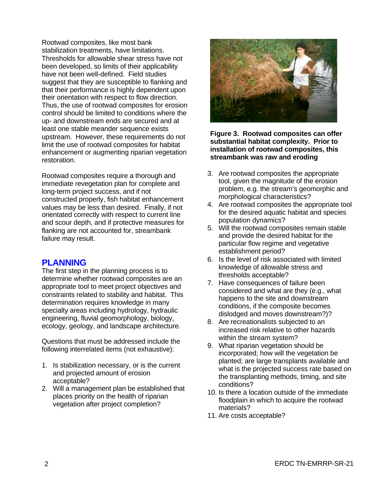Rootwad composites, like most bank stabilization treatments, have limitations. Thresholds for allowable shear stress have not been developed, so limits of their applicability have not been well-defined. Field studies suggest that they are susceptible to flanking and that their performance is highly dependent upon their orientation with respect to flow direction. Thus, the use of rootwad composites for erosion control should be limited to conditions where the up- and downstream ends are secured and at least one stable meander sequence exists upstream. However, these requirements do not limit the use of rootwad composites for habitat enhancement or augmenting riparian vegetation restoration.

Rootwad composites require a thorough and immediate revegetation plan for complete and long-term project success, and if not constructed properly, fish habitat enhancement values may be less than desired. Finally, if not orientated correctly with respect to current line and scour depth, and if protective measures for flanking are not accounted for, streambank failure may result.

### **PLANNING**

The first step in the planning process is to determine whether rootwad composites are an appropriate tool to meet project objectives and constraints related to stability and habitat. This determination requires knowledge in many specialty areas including hydrology, hydraulic engineering, fluvial geomorphology, biology, ecology, geology, and landscape architecture.

Questions that must be addressed include the following interrelated items (not exhaustive):

- 1. Is stabilization necessary, or is the current and projected amount of erosion acceptable?
- 2. Will a management plan be established that places priority on the health of riparian vegetation after project completion?



**Figure 3. Rootwad composites can offer substantial habitat complexity. Prior to installation of rootwad composites, this streambank was raw and eroding**

- 3. Are rootwad composites the appropriate tool, given the magnitude of the erosion problem, e.g. the stream's geomorphic and morphological characteristics?
- 4. Are rootwad composites the appropriate tool for the desired aquatic habitat and species population dynamics?
- 5. Will the rootwad composites remain stable and provide the desired habitat for the particular flow regime and vegetative establishment period?
- 6. Is the level of risk associated with limited knowledge of allowable stress and thresholds acceptable?
- 7. Have consequences of failure been considered and what are they (e.g., what happens to the site and downstream conditions, if the composite becomes dislodged and moves downstream?)?
- 8. Are recreationalists subjected to an increased risk relative to other hazards within the stream system?
- 9. What riparian vegetation should be incorporated; how will the vegetation be planted; are large transplants available and what is the projected success rate based on the transplanting methods, timing, and site conditions?
- 10. Is there a location outside of the immediate floodplain in which to acquire the rootwad materials?
- 11. Are costs acceptable?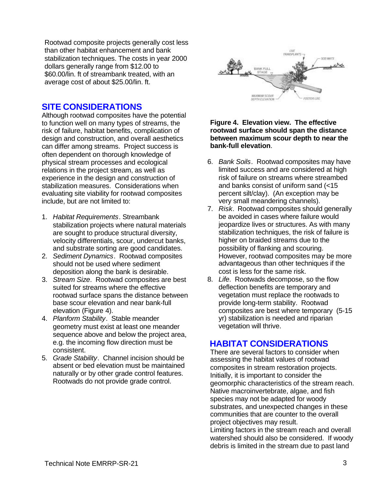Rootwad composite projects generally cost less than other habitat enhancement and bank stabilization techniques. The costs in year 2000 dollars generally range from \$12.00 to \$60.00/lin. ft of streambank treated, with an average cost of about \$25.00/lin. ft.

### **SITE CONSIDERATIONS**

Although rootwad composites have the potential to function well on many types of streams, the risk of failure, habitat benefits, complication of design and construction, and overall aesthetics can differ among streams. Project success is often dependent on thorough knowledge of physical stream processes and ecological relations in the project stream, as well as experience in the design and construction of stabilization measures. Considerations when evaluating site viability for rootwad composites include, but are not limited to:

- 1. *Habitat Requirements*. Streambank stabilization projects where natural materials are sought to produce structural diversity, velocity differentials, scour, undercut banks, and substrate sorting are good candidates.
- 2. *Sediment Dynamics*. Rootwad composites should not be used where sediment deposition along the bank is desirable.
- 3. *Stream Size*. Rootwad composites are best suited for streams where the effective rootwad surface spans the distance between base scour elevation and near bank-full elevation (Figure 4).
- 4. *Planform Stability*. Stable meander geometry must exist at least one meander sequence above and below the project area, e.g. the incoming flow direction must be consistent.
- 5. *Grade Stability*. Channel incision should be absent or bed elevation must be maintained naturally or by other grade control features. Rootwads do not provide grade control.



#### **Figure 4. Elevation view. The effective rootwad surface should span the distance between maximum scour depth to near the bank-full elevation**.

- 6. *Bank Soils*. Rootwad composites may have limited success and are considered at high risk of failure on streams where streambed and banks consist of uniform sand (<15 percent silt/clay). (An exception may be very small meandering channels).
- 7. *Risk*. Rootwad composites should generally be avoided in cases where failure would jeopardize lives or structures. As with many stabilization techniques, the risk of failure is higher on braided streams due to the possibility of flanking and scouring. However, rootwad composites may be more advantageous than other techniques if the cost is less for the same risk.
- 8. *Life*. Rootwads decompose, so the flow deflection benefits are temporary and vegetation must replace the rootwads to provide long-term stability. Rootwad composites are best where temporary (5-15 yr) stabilization is needed and riparian vegetation will thrive.

### **HABITAT CONSIDERATIONS**

There are several factors to consider when assessing the habitat values of rootwad composites in stream restoration projects. Initially, it is important to consider the geomorphic characteristics of the stream reach. Native macroinvertebrate, algae, and fish species may not be adapted for woody substrates, and unexpected changes in these communities that are counter to the overall project objectives may result.

Limiting factors in the stream reach and overall watershed should also be considered. If woody debris is limited in the stream due to past land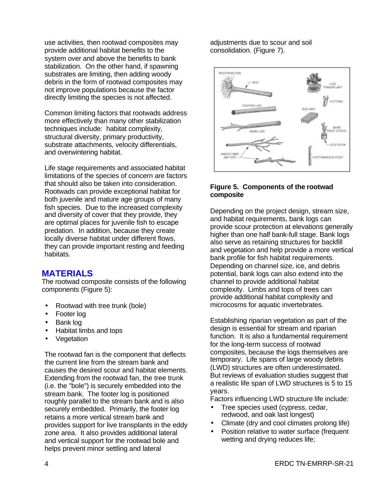use activities, then rootwad composites may provide additional habitat benefits to the system over and above the benefits to bank stabilization. On the other hand, if spawning substrates are limiting, then adding woody debris in the form of rootwad composites may not improve populations because the factor directly limiting the species is not affected.

Common limiting factors that rootwads address more effectively than many other stabilization techniques include: habitat complexity, structural diversity, primary productivity, substrate attachments, velocity differentials, and overwintering habitat.

Life stage requirements and associated habitat limitations of the species of concern are factors that should also be taken into consideration. Rootwads can provide exceptional habitat for both juvenile and mature age groups of many fish species. Due to the increased complexity and diversity of cover that they provide, they are optimal places for juvenile fish to escape predation. In addition, because they create locally diverse habitat under different flows, they can provide important resting and feeding habitats.

### **MATERIALS**

The rootwad composite consists of the following components (Figure 5):

- Rootwad with tree trunk (bole)
- Footer log
- Bank log
- Habitat limbs and tops
- Vegetation

The rootwad fan is the component that deflects the current line from the stream bank and causes the desired scour and habitat elements. Extending from the rootwad fan, the tree trunk (i.e. the "bole") is securely embedded into the stream bank. The footer log is positioned roughly parallel to the stream bank and is also securely embedded. Primarily, the footer log retains a more vertical stream bank and provides support for live transplants in the eddy zone area. It also provides additional lateral and vertical support for the rootwad bole and helps prevent minor settling and lateral

adiustments due to scour and soil consolidation. (Figure 7).



#### **Figure 5. Components of the rootwad composite**

Depending on the project design, stream size, and habitat requirements, bank logs can provide scour protection at elevations generally higher than one half bank-full stage. Bank logs also serve as retaining structures for backfill and vegetation and help provide a more vertical bank profile for fish habitat requirements. Depending on channel size, ice, and debris potential, bank logs can also extend into the channel to provide additional habitat complexity. Limbs and tops of trees can provide additional habitat complexity and microcosms for aquatic invertebrates.

Establishing riparian vegetation as part of the design is essential for stream and riparian function. It is also a fundamental requirement for the long-term success of rootwad composites, because the logs themselves are temporary. Life spans of large woody debris (LWD) structures are often underestimated. But reviews of evaluation studies suggest that a realistic life span of LWD structures is 5 to 15 years.

Factors influencing LWD structure life include:

- Tree species used (cypress, cedar, redwood, and oak last longest)
- Climate (dry and cool climates prolong life)
- Position relative to water surface (frequent wetting and drying reduces life;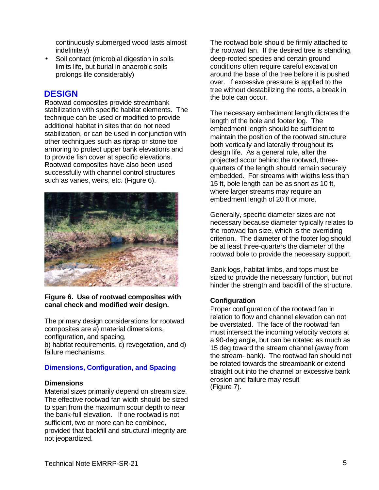continuously submerged wood lasts almost indefinitely)

Soil contact (microbial digestion in soils limits life, but burial in anaerobic soils prolongs life considerably)

### **DESIGN**

Rootwad composites provide streambank stabilization with specific habitat elements. The technique can be used or modified to provide additional habitat in sites that do not need stabilization, or can be used in conjunction with other techniques such as riprap or stone toe armoring to protect upper bank elevations and to provide fish cover at specific elevations. Rootwad composites have also been used successfully with channel control structures such as vanes, weirs, etc. (Figure 6).



#### **Figure 6. Use of rootwad composites with canal check and modified weir design.**

The primary design considerations for rootwad composites are a) material dimensions, configuration, and spacing,

b) habitat requirements, c) revegetation, and d) failure mechanisms.

#### **Dimensions, Configuration, and Spacing**

#### **Dimensions**

Material sizes primarily depend on stream size. The effective rootwad fan width should be sized to span from the maximum scour depth to near the bank-full elevation. If one rootwad is not sufficient, two or more can be combined, provided that backfill and structural integrity are not jeopardized.

The rootwad bole should be firmly attached to the rootwad fan. If the desired tree is standing, deep-rooted species and certain ground conditions often require careful excavation around the base of the tree before it is pushed over. If excessive pressure is applied to the tree without destabilizing the roots, a break in the bole can occur.

The necessary embedment length dictates the length of the bole and footer log. The embedment length should be sufficient to maintain the position of the rootwad structure both vertically and laterally throughout its design life. As a general rule, after the projected scour behind the rootwad, threequarters of the length should remain securely embedded. For streams with widths less than 15 ft, bole length can be as short as 10 ft, where larger streams may require an embedment length of 20 ft or more.

Generally, specific diameter sizes are not necessary because diameter typically relates to the rootwad fan size, which is the overriding criterion. The diameter of the footer log should be at least three-quarters the diameter of the rootwad bole to provide the necessary support.

Bank logs, habitat limbs, and tops must be sized to provide the necessary function, but not hinder the strength and backfill of the structure.

#### **Configuration**

Proper configuration of the rootwad fan in relation to flow and channel elevation can not be overstated. The face of the rootwad fan must intersect the incoming velocity vectors at a 90-deg angle, but can be rotated as much as 15 deg toward the stream channel (away from the stream- bank). The rootwad fan should not be rotated towards the streambank or extend straight out into the channel or excessive bank erosion and failure may result (Figure 7).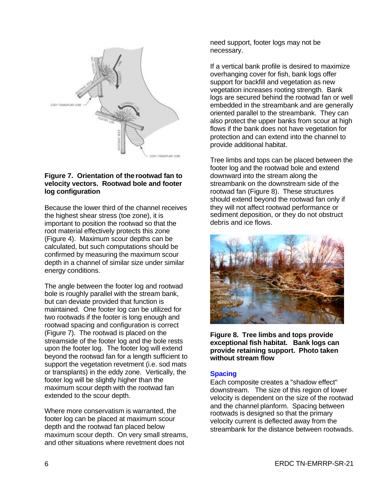

#### **Figure 7. Orientation of the rootwad fan to velocity vectors. Rootwad bole and footer log configuration**

Because the lower third of the channel receives the highest shear stress (toe zone), it is important to position the rootwad so that the root material effectively protects this zone (Figure 4). Maximum scour depths can be calculated, but such computations should be confirmed by measuring the maximum scour depth in a channel of similar size under similar energy conditions.

The angle between the footer log and rootwad bole is roughly parallel with the stream bank, but can deviate provided that function is maintained. One footer log can be utilized for two rootwads if the footer is long enough and rootwad spacing and configuration is correct (Figure 7). The rootwad is placed on the streamside of the footer log and the bole rests upon the footer log. The footer log will extend beyond the rootwad fan for a length sufficient to support the vegetation revetment (i.e. sod mats or transplants) in the eddy zone. Vertically, the footer log will be slightly higher than the maximum scour depth with the rootwad fan extended to the scour depth.

Where more conservatism is warranted, the footer log can be placed at maximum scour depth and the rootwad fan placed below maximum scour depth. On very small streams, and other situations where revetment does not

need support, footer logs may not be necessary.

If a vertical bank profile is desired to maximize overhanging cover for fish, bank logs offer support for backfill and vegetation as new vegetation increases rooting strength. Bank logs are secured behind the rootwad fan or well embedded in the streambank and are generally oriented parallel to the streambank. They can also protect the upper banks from scour at high flows if the bank does not have vegetation for protection and can extend into the channel to provide additional habitat.

Tree limbs and tops can be placed between the footer log and the rootwad bole and extend downward into the stream along the streambank on the downstream side of the rootwad fan (Figure 8). These structures should extend beyond the rootwad fan only if they will not affect rootwad performance or sediment deposition, or they do not obstruct debris and ice flows.



**Figure 8. Tree limbs and tops provide exceptional fish habitat. Bank logs can provide retaining support. Photo taken without stream flow**

#### **Spacing**

Each composite creates a "shadow effect" downstream. The size of this region of lower velocity is dependent on the size of the rootwad and the channel planform. Spacing between rootwads is designed so that the primary velocity current is deflected away from the streambank for the distance between rootwads.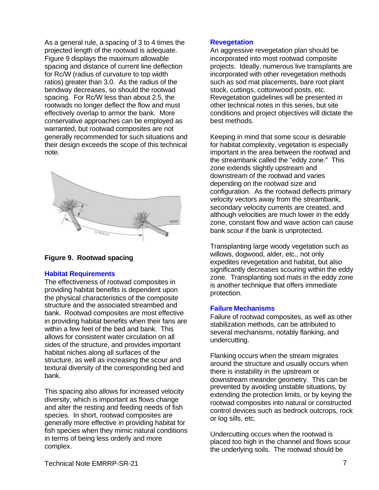As a general rule, a spacing of 3 to 4 times the projected length of the rootwad is adequate. Figure 9 displays the maximum allowable spacing and distance of current line deflection for Rc/W (radius of curvature to top width ratios) greater than 3.0. As the radius of the bendway decreases, so should the rootwad spacing. For Rc/W less than about 2.5, the rootwads no longer deflect the flow and must effectively overlap to armor the bank. More conservative approaches can be employed as warranted, but rootwad composites are not generally recommended for such situations and their design exceeds the scope of this technical note.



#### **Figure 9. Rootwad spacing**

#### **Habitat Requirements**

The effectiveness of rootwad composites in providing habitat benefits is dependent upon the physical characteristics of the composite structure and the associated streambed and bank. Rootwad composites are most effective in providing habitat benefits when their fans are within a few feet of the bed and bank. This allows for consistent water circulation on all sides of the structure, and provides important habitat niches along all surfaces of the structure, as well as increasing the scour and textural diversity of the corresponding bed and bank.

This spacing also allows for increased velocity diversity, which is important as flows change and alter the resting and feeding needs of fish species. In short, rootwad composites are generally more effective in providing habitat for fish species when they mimic natural conditions in terms of being less orderly and more complex.

#### **Revegetation**

An aggressive revegetation plan should be incorporated into most rootwad composite projects. Ideally, numerous live transplants are incorporated with other revegetation methods such as sod mat placements, bare root plant stock, cuttings, cottonwood posts, etc. Revegetation guidelines will be presented in other technical notes in this series, but site conditions and project objectives will dictate the best methods.

Keeping in mind that some scour is desirable for habitat complexity, vegetation is especially important in the area between the rootwad and the streambank called the "eddy zone." This zone extends slightly upstream and downstream of the rootwad and varies depending on the rootwad size and configuration. As the rootwad deflects primary velocity vectors away from the streambank, secondary velocity currents are created, and although velocities are much lower in the eddy zone, constant flow and wave action can cause bank scour if the bank is unprotected.

Transplanting large woody vegetation such as willows, dogwood, alder, etc., not only expedites revegetation and habitat, but also significantly decreases scouring within the eddy zone. Transplanting sod mats in the eddy zone is another technique that offers immediate protection.

#### **Failure Mechanisms**

Failure of rootwad composites, as well as other stabilization methods, can be attributed to several mechanisms, notably flanking, and undercutting.

Flanking occurs when the stream migrates around the structure and usually occurs when there is instability in the upstream or downstream meander geometry. This can be prevented by avoiding unstable situations, by extending the protection limits, or by keying the rootwad composites into natural or constructed control devices such as bedrock outcrops, rock or log sills, etc.

Undercutting occurs when the rootwad is placed too high in the channel and flows scour the underlying soils. The rootwad should be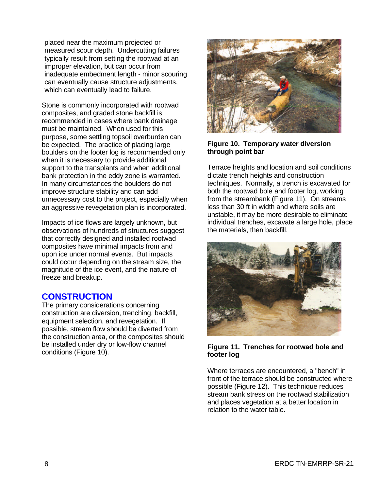placed near the maximum projected or measured scour depth. Undercutting failures typically result from setting the rootwad at an improper elevation, but can occur from inadequate embedment length - minor scouring can eventually cause structure adjustments, which can eventually lead to failure.

Stone is commonly incorporated with rootwad composites, and graded stone backfill is recommended in cases where bank drainage must be maintained. When used for this purpose, some settling topsoil overburden can be expected. The practice of placing large boulders on the footer log is recommended only when it is necessary to provide additional support to the transplants and when additional bank protection in the eddy zone is warranted. In many circumstances the boulders do not improve structure stability and can add unnecessary cost to the project, especially when an aggressive revegetation plan is incorporated.

Impacts of ice flows are largely unknown, but observations of hundreds of structures suggest that correctly designed and installed rootwad composites have minimal impacts from and upon ice under normal events. But impacts could occur depending on the stream size, the magnitude of the ice event, and the nature of freeze and breakup.

### **CONSTRUCTION**

The primary considerations concerning construction are diversion, trenching, backfill, equipment selection, and revegetation. If possible, stream flow should be diverted from the construction area, or the composites should be installed under dry or low-flow channel conditions (Figure 10).



#### **Figure 10. Temporary water diversion through point bar**

Terrace heights and location and soil conditions dictate trench heights and construction techniques. Normally, a trench is excavated for both the rootwad bole and footer log, working from the streambank (Figure 11). On streams less than 30 ft in width and where soils are unstable, it may be more desirable to eliminate individual trenches, excavate a large hole, place the materials, then backfill.



#### **Figure 11. Trenches for rootwad bole and footer log**

Where terraces are encountered, a "bench" in front of the terrace should be constructed where possible (Figure 12). This technique reduces stream bank stress on the rootwad stabilization and places vegetation at a better location in relation to the water table.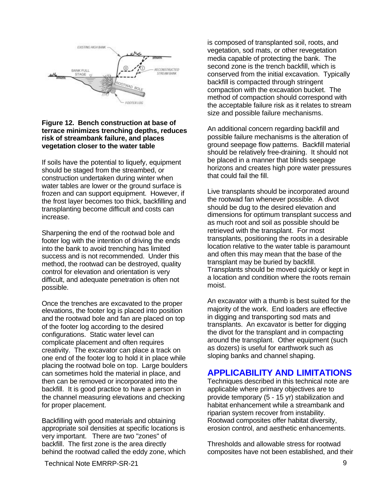

#### **Figure 12. Bench construction at base of terrace minimizes trenching depths, reduces risk of streambank failure, and places vegetation closer to the water table**

If soils have the potential to liquefy, equipment should be staged from the streambed, or construction undertaken during winter when water tables are lower or the ground surface is frozen and can support equipment. However, if the frost layer becomes too thick, backfilling and transplanting become difficult and costs can increase.

Sharpening the end of the rootwad bole and footer log with the intention of driving the ends into the bank to avoid trenching has limited success and is not recommended. Under this method, the rootwad can be destroyed, quality control for elevation and orientation is very difficult, and adequate penetration is often not possible.

Once the trenches are excavated to the proper elevations, the footer log is placed into position and the rootwad bole and fan are placed on top of the footer log according to the desired configurations. Static water level can complicate placement and often requires creativity. The excavator can place a track on one end of the footer log to hold it in place while placing the rootwad bole on top. Large boulders can sometimes hold the material in place, and then can be removed or incorporated into the backfill. It is good practice to have a person in the channel measuring elevations and checking for proper placement.

Backfilling with good materials and obtaining appropriate soil densities at specific locations is very important. There are two "zones" of backfill. The first zone is the area directly behind the rootwad called the eddy zone, which is composed of transplanted soil, roots, and vegetation, sod mats, or other revegetation media capable of protecting the bank. The second zone is the trench backfill, which is conserved from the initial excavation. Typically backfill is compacted through stringent compaction with the excavation bucket. The method of compaction should correspond with the acceptable failure risk as it relates to stream size and possible failure mechanisms.

An additional concern regarding backfill and possible failure mechanisms is the alteration of ground seepage flow patterns. Backfill material should be relatively free-draining. It should not be placed in a manner that blinds seepage horizons and creates high pore water pressures that could fail the fill.

Live transplants should be incorporated around the rootwad fan whenever possible. A divot should be dug to the desired elevation and dimensions for optimum transplant success and as much root and soil as possible should be retrieved with the transplant. For most transplants, positioning the roots in a desirable location relative to the water table is paramount and often this may mean that the base of the transplant may be buried by backfill. Transplants should be moved quickly or kept in a location and condition where the roots remain moist.

An excavator with a thumb is best suited for the majority of the work. End loaders are effective in digging and transporting sod mats and transplants. An excavator is better for digging the divot for the transplant and in compacting around the transplant. Other equipment (such as dozers) is useful for earthwork such as sloping banks and channel shaping.

### **APPLICABILITY AND LIMITATIONS**

Techniques described in this technical note are applicable where primary objectives are to provide temporary (5 - 15 yr) stabilization and habitat enhancement while a streambank and riparian system recover from instability. Rootwad composites offer habitat diversity, erosion control, and aesthetic enhancements.

Thresholds and allowable stress for rootwad composites have not been established, and their

Technical Note EMRRP-SR-21 9